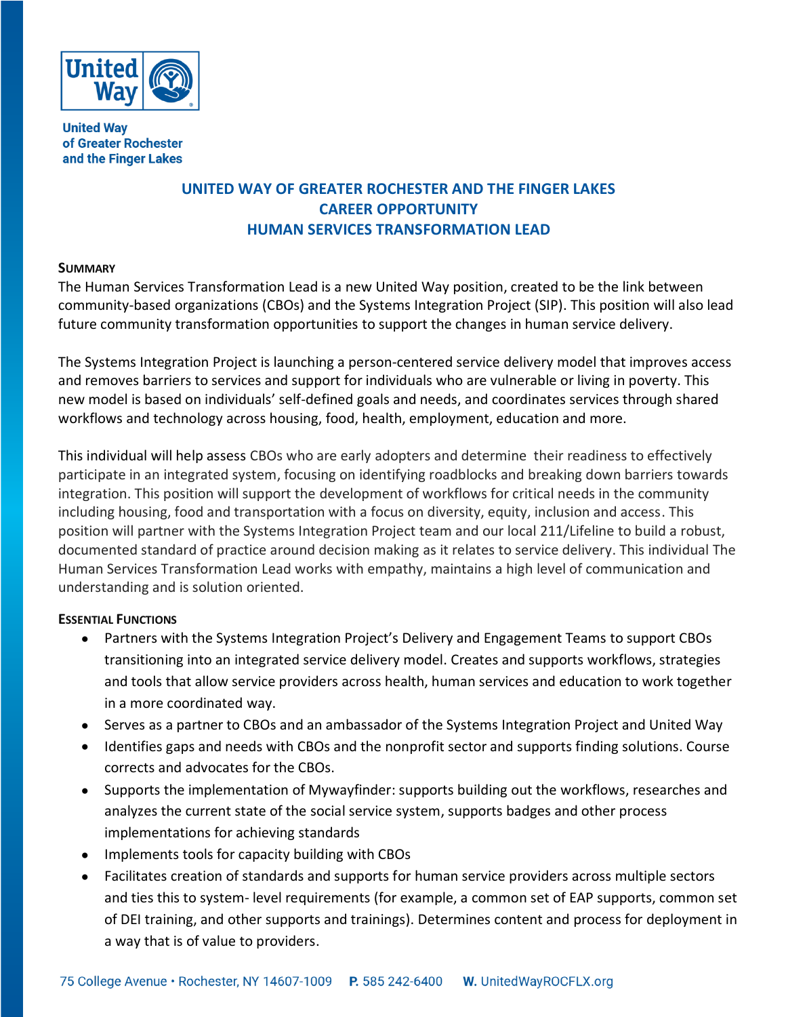

**United Way** of Greater Rochester and the Finger Lakes

# **UNITED WAY OF GREATER ROCHESTER AND THE FINGER LAKES CAREER OPPORTUNITY HUMAN SERVICES TRANSFORMATION LEAD**

### **SUMMARY**

The Human Services Transformation Lead is a new United Way position, created to be the link between community-based organizations (CBOs) and the Systems Integration Project (SIP). This position will also lead future community transformation opportunities to support the changes in human service delivery.

The Systems Integration Project is launching a person-centered service delivery model that improves access and removes barriers to services and support for individuals who are vulnerable or living in poverty. This new model is based on individuals' self-defined goals and needs, and coordinates services through shared workflows and technology across housing, food, health, employment, education and more.

This individual will help assess CBOs who are early adopters and determine their readiness to effectively participate in an integrated system, focusing on identifying roadblocks and breaking down barriers towards integration. This position will support the development of workflows for critical needs in the community including housing, food and transportation with a focus on diversity, equity, inclusion and access. This position will partner with the Systems Integration Project team and our local 211/Lifeline to build a robust, documented standard of practice around decision making as it relates to service delivery. This individual The Human Services Transformation Lead works with empathy, maintains a high level of communication and understanding and is solution oriented.

## **ESSENTIAL FUNCTIONS**

- Partners with the Systems Integration Project's Delivery and Engagement Teams to support CBOs transitioning into an integrated service delivery model. Creates and supports workflows, strategies and tools that allow service providers across health, human services and education to work together in a more coordinated way.
- Serves as a partner to CBOs and an ambassador of the Systems Integration Project and United Way
- Identifies gaps and needs with CBOs and the nonprofit sector and supports finding solutions. Course corrects and advocates for the CBOs.
- Supports the implementation of Mywayfinder: supports building out the workflows, researches and analyzes the current state of the social service system, supports badges and other process implementations for achieving standards
- Implements tools for capacity building with CBOs
- Facilitates creation of standards and supports for human service providers across multiple sectors and ties this to system- level requirements (for example, a common set of EAP supports, common set of DEI training, and other supports and trainings). Determines content and process for deployment in a way that is of value to providers.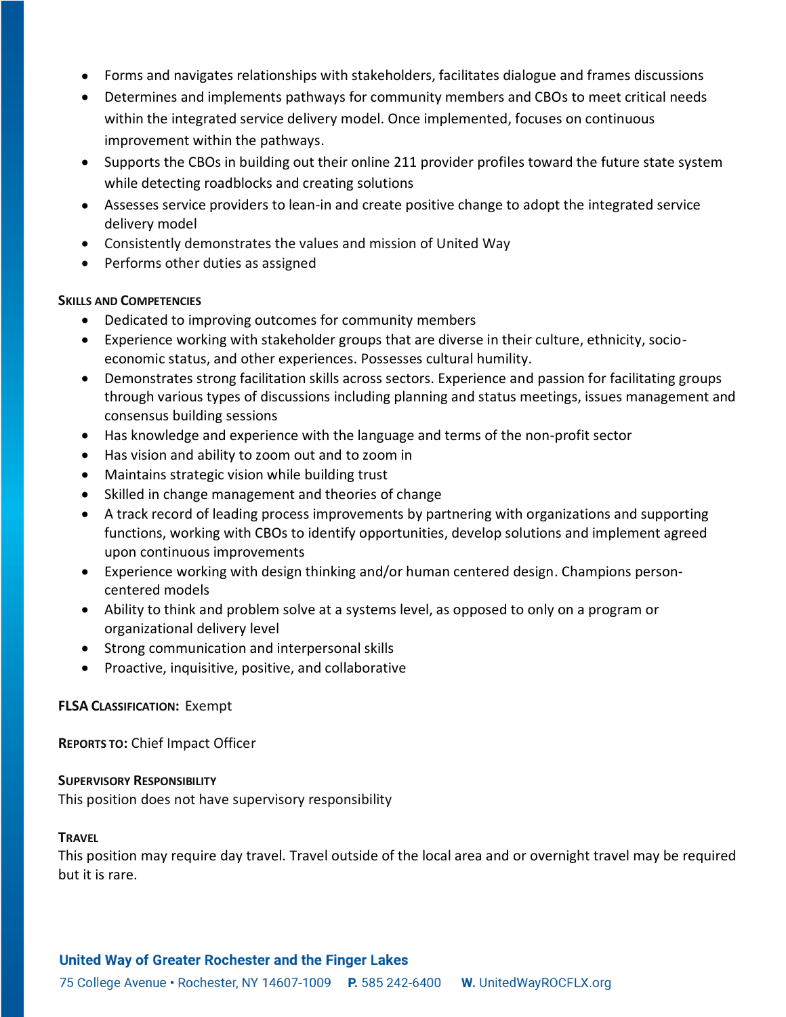- Forms and navigates relationships with stakeholders, facilitates dialogue and frames discussions
- Determines and implements pathways for community members and CBOs to meet critical needs within the integrated service delivery model. Once implemented, focuses on continuous improvement within the pathways.
- Supports the CBOs in building out their online 211 provider profiles toward the future state system while detecting roadblocks and creating solutions
- Assesses service providers to lean-in and create positive change to adopt the integrated service delivery model
- Consistently demonstrates the values and mission of United Way
- Performs other duties as assigned

#### **SKILLS AND COMPETENCIES**

- Dedicated to improving outcomes for community members
- Experience working with stakeholder groups that are diverse in their culture, ethnicity, socioeconomic status, and other experiences. Possesses cultural humility.
- Demonstrates strong facilitation skills across sectors. Experience and passion for facilitating groups through various types of discussions including planning and status meetings, issues management and consensus building sessions
- Has knowledge and experience with the language and terms of the non-profit sector
- Has vision and ability to zoom out and to zoom in
- Maintains strategic vision while building trust
- Skilled in change management and theories of change
- A track record of leading process improvements by partnering with organizations and supporting functions, working with CBOs to identify opportunities, develop solutions and implement agreed upon continuous improvements
- Experience working with design thinking and/or human centered design. Champions personcentered models
- Ability to think and problem solve at a systems level, as opposed to only on a program or organizational delivery level
- Strong communication and interpersonal skills
- Proactive, inquisitive, positive, and collaborative

#### **FLSA CLASSIFICATION:** Exempt

**REPORTS TO:** Chief Impact Officer

#### **SUPERVISORY RESPONSIBILITY**

This position does not have supervisory responsibility

#### **TRAVEL**

This position may require day travel. Travel outside of the local area and or overnight travel may be required but it is rare.

#### United Way of Greater Rochester and the Finger Lakes